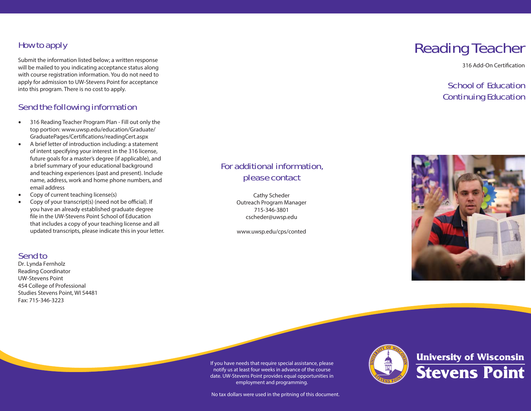## How to apply

Submit the information listed below; a written response will be mailed to you indicating acceptance status along with course registration information. You do not need to apply for admission to UW-Stevens Point for acceptance into this program. There is no cost to apply.

## Send the following information

- • 316 Reading Teacher Program Plan - Fill out only the top portion: www.uwsp.edu/education/Graduate/ GraduatePages/Certifications/readingCert.aspx
- • A brief letter of introduction including: a statement of intent specifying your interest in the 316 license, future goals for a master's degree (if applicable), and a brief summary of your educational background and teaching experiences (past and present). Include name, address, work and home phone numbers, and email address
- •Copy of current teaching license(s)
- •Copy of your transcript(s) (need not be official). If you have an already established graduate degree file in the UW-Stevens Point School of Education that includes a copy of your teaching license and all updated transcripts, please indicate this in your letter.

## For additional information, please contact

Cathy Scheder Outreach Program Manager 715-346-3801cscheder@uwsp.edu

www.uwsp.edu/cps/conted

# Reading Teacher

316 Add-On Certification

## School of EducationContinuing Education



### Send to

 Dr. Lynda Fernholz Reading CoordinatorUW-Stevens Point 454 College of Professional Studies Stevens Point, WI 54481Fax: 715-346-3223

> If you have needs that require special assistance, please notify us at least four weeks in advance of the course date. UW-Stevens Point provides equal opportunities in employment and programming.

No tax dollars were used in the pritning of this document.